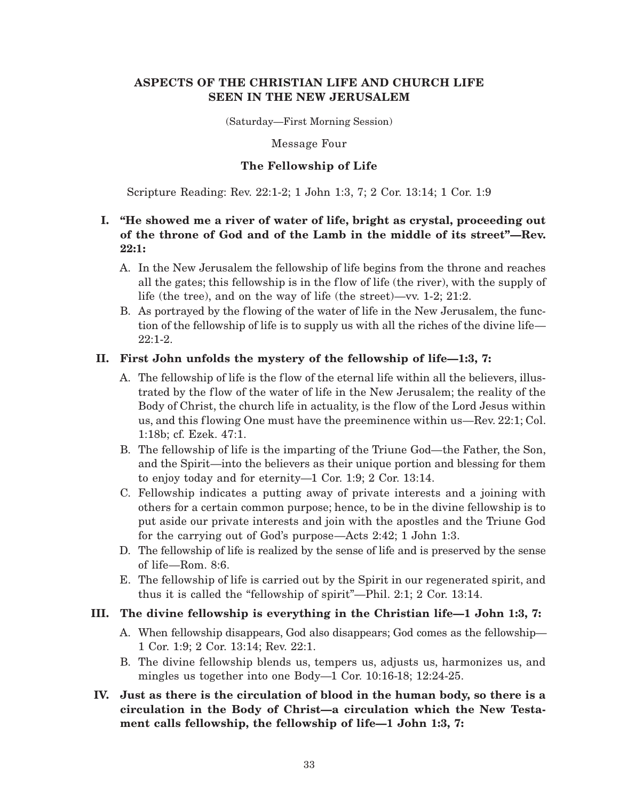# **ASPECTS OF THE CHRISTIAN LIFE AND CHURCH LIFE SEEN IN THE NEW JERUSALEM**

(Saturday—First Morning Session)

Message Four

## **The Fellowship of Life**

Scripture Reading: Rev. 22:1-2; 1 John 1:3, 7; 2 Cor. 13:14; 1 Cor. 1:9

# **I. "He showed me a river of water of life, bright as crystal, proceeding out of the throne of God and of the Lamb in the middle of its street"—Rev. 22:1:**

- A. In the New Jerusalem the fellowship of life begins from the throne and reaches all the gates; this fellowship is in the flow of life (the river), with the supply of life (the tree), and on the way of life (the street)—vv. 1-2; 21:2.
- B. As portrayed by the flowing of the water of life in the New Jerusalem, the function of the fellowship of life is to supply us with all the riches of the divine life— 22:1-2.

## **II. First John unfolds the mystery of the fellowship of life—1:3, 7:**

- A. The fellowship of life is the flow of the eternal life within all the believers, illustrated by the flow of the water of life in the New Jerusalem; the reality of the Body of Christ, the church life in actuality, is the flow of the Lord Jesus within us, and this flowing One must have the preeminence within us—Rev. 22:1; Col. 1:18b; cf. Ezek. 47:1.
- B. The fellowship of life is the imparting of the Triune God—the Father, the Son, and the Spirit—into the believers as their unique portion and blessing for them to enjoy today and for eternity—1 Cor. 1:9; 2 Cor. 13:14.
- C. Fellowship indicates a putting away of private interests and a joining with others for a certain common purpose; hence, to be in the divine fellowship is to put aside our private interests and join with the apostles and the Triune God for the carrying out of God's purpose—Acts 2:42; 1 John 1:3.
- D. The fellowship of life is realized by the sense of life and is preserved by the sense of life—Rom. 8:6.
- E. The fellowship of life is carried out by the Spirit in our regenerated spirit, and thus it is called the "fellowship of spirit"—Phil. 2:1; 2 Cor. 13:14.

### **III. The divine fellowship is everything in the Christian life—1 John 1:3, 7:**

- A. When fellowship disappears, God also disappears; God comes as the fellowship— 1 Cor. 1:9; 2 Cor. 13:14; Rev. 22:1.
- B. The divine fellowship blends us, tempers us, adjusts us, harmonizes us, and mingles us together into one Body—1 Cor. 10:16-18; 12:24-25.

# **IV. Just as there is the circulation of blood in the human body, so there is a circulation in the Body of Christ—a circulation which the New Testament calls fellowship, the fellowship of life—1 John 1:3, 7:**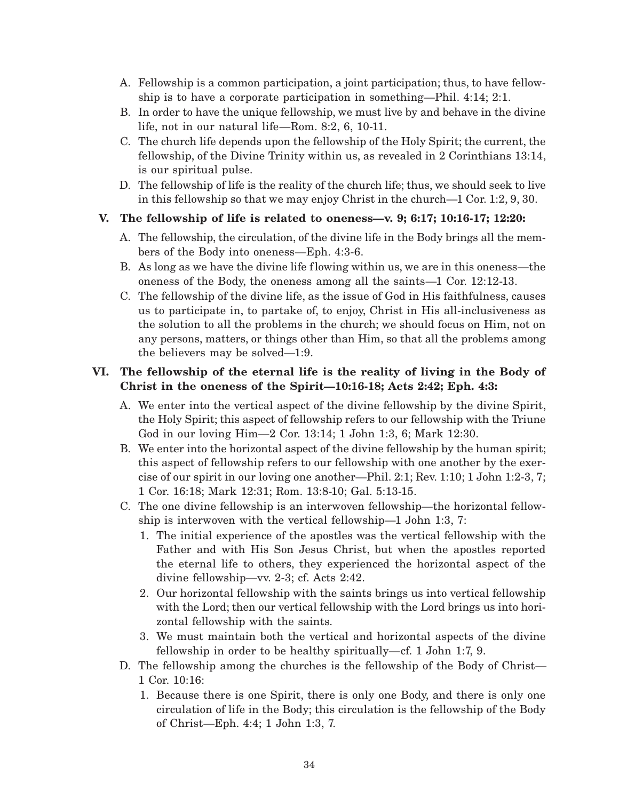- A. Fellowship is a common participation, a joint participation; thus, to have fellowship is to have a corporate participation in something—Phil. 4:14; 2:1.
- B. In order to have the unique fellowship, we must live by and behave in the divine life, not in our natural life—Rom. 8:2, 6, 10-11.
- C. The church life depends upon the fellowship of the Holy Spirit; the current, the fellowship, of the Divine Trinity within us, as revealed in 2 Corinthians 13:14, is our spiritual pulse.
- D. The fellowship of life is the reality of the church life; thus, we should seek to live in this fellowship so that we may enjoy Christ in the church—1 Cor. 1:2, 9, 30.

## **V. The fellowship of life is related to oneness—v. 9; 6:17; 10:16-17; 12:20:**

- A. The fellowship, the circulation, of the divine life in the Body brings all the members of the Body into oneness—Eph. 4:3-6.
- B. As long as we have the divine life flowing within us, we are in this oneness—the oneness of the Body, the oneness among all the saints—1 Cor. 12:12-13.
- C. The fellowship of the divine life, as the issue of God in His faithfulness, causes us to participate in, to partake of, to enjoy, Christ in His all-inclusiveness as the solution to all the problems in the church; we should focus on Him, not on any persons, matters, or things other than Him, so that all the problems among the believers may be solved—1:9.

# **VI. The fellowship of the eternal life is the reality of living in the Body of Christ in the oneness of the Spirit—10:16-18; Acts 2:42; Eph. 4:3:**

- A. We enter into the vertical aspect of the divine fellowship by the divine Spirit, the Holy Spirit; this aspect of fellowship refers to our fellowship with the Triune God in our loving Him—2 Cor. 13:14; 1 John 1:3, 6; Mark 12:30.
- B. We enter into the horizontal aspect of the divine fellowship by the human spirit; this aspect of fellowship refers to our fellowship with one another by the exercise of our spirit in our loving one another—Phil. 2:1; Rev. 1:10; 1 John 1:2-3, 7; 1 Cor. 16:18; Mark 12:31; Rom. 13:8-10; Gal. 5:13-15.
- C. The one divine fellowship is an interwoven fellowship—the horizontal fellowship is interwoven with the vertical fellowship—1 John 1:3, 7:
	- 1. The initial experience of the apostles was the vertical fellowship with the Father and with His Son Jesus Christ, but when the apostles reported the eternal life to others, they experienced the horizontal aspect of the divine fellowship—vv. 2-3; cf. Acts 2:42.
	- 2. Our horizontal fellowship with the saints brings us into vertical fellowship with the Lord; then our vertical fellowship with the Lord brings us into horizontal fellowship with the saints.
	- 3. We must maintain both the vertical and horizontal aspects of the divine fellowship in order to be healthy spiritually—cf. 1 John 1:7, 9.
- D. The fellowship among the churches is the fellowship of the Body of Christ— 1 Cor. 10:16:
	- 1. Because there is one Spirit, there is only one Body, and there is only one circulation of life in the Body; this circulation is the fellowship of the Body of Christ—Eph. 4:4; 1 John 1:3, 7.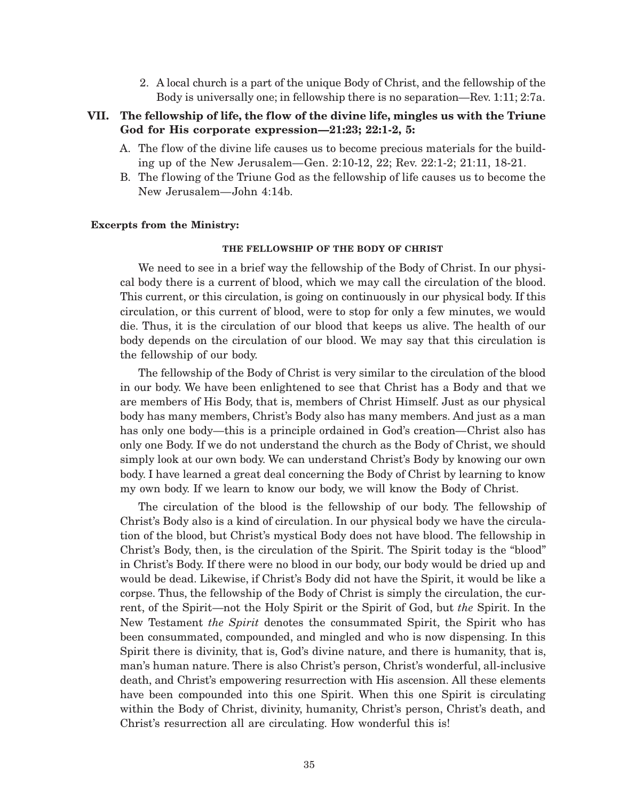2. A local church is a part of the unique Body of Christ, and the fellowship of the Body is universally one; in fellowship there is no separation—Rev. 1:11; 2:7a.

# **VII. The fellowship of life, the flow of the divine life, mingles us with the Triune God for His corporate expression—21:23; 22:1-2, 5:**

- A. The flow of the divine life causes us to become precious materials for the building up of the New Jerusalem—Gen. 2:10-12, 22; Rev. 22:1-2; 21:11, 18-21.
- B. The flowing of the Triune God as the fellowship of life causes us to become the New Jerusalem—John 4:14b.

#### **Excerpts from the Ministry:**

### **THE FELLOWSHIP OF THE BODY OF CHRIST**

We need to see in a brief way the fellowship of the Body of Christ. In our physical body there is a current of blood, which we may call the circulation of the blood. This current, or this circulation, is going on continuously in our physical body. If this circulation, or this current of blood, were to stop for only a few minutes, we would die. Thus, it is the circulation of our blood that keeps us alive. The health of our body depends on the circulation of our blood. We may say that this circulation is the fellowship of our body.

The fellowship of the Body of Christ is very similar to the circulation of the blood in our body. We have been enlightened to see that Christ has a Body and that we are members of His Body, that is, members of Christ Himself. Just as our physical body has many members, Christ's Body also has many members. And just as a man has only one body—this is a principle ordained in God's creation—Christ also has only one Body. If we do not understand the church as the Body of Christ, we should simply look at our own body. We can understand Christ's Body by knowing our own body. I have learned a great deal concerning the Body of Christ by learning to know my own body. If we learn to know our body, we will know the Body of Christ.

The circulation of the blood is the fellowship of our body. The fellowship of Christ's Body also is a kind of circulation. In our physical body we have the circulation of the blood, but Christ's mystical Body does not have blood. The fellowship in Christ's Body, then, is the circulation of the Spirit. The Spirit today is the "blood" in Christ's Body. If there were no blood in our body, our body would be dried up and would be dead. Likewise, if Christ's Body did not have the Spirit, it would be like a corpse. Thus, the fellowship of the Body of Christ is simply the circulation, the current, of the Spirit—not the Holy Spirit or the Spirit of God, but *the* Spirit. In the New Testament *the Spirit* denotes the consummated Spirit, the Spirit who has been consummated, compounded, and mingled and who is now dispensing. In this Spirit there is divinity, that is, God's divine nature, and there is humanity, that is, man's human nature. There is also Christ's person, Christ's wonderful, all-inclusive death, and Christ's empowering resurrection with His ascension. All these elements have been compounded into this one Spirit. When this one Spirit is circulating within the Body of Christ, divinity, humanity, Christ's person, Christ's death, and Christ's resurrection all are circulating. How wonderful this is!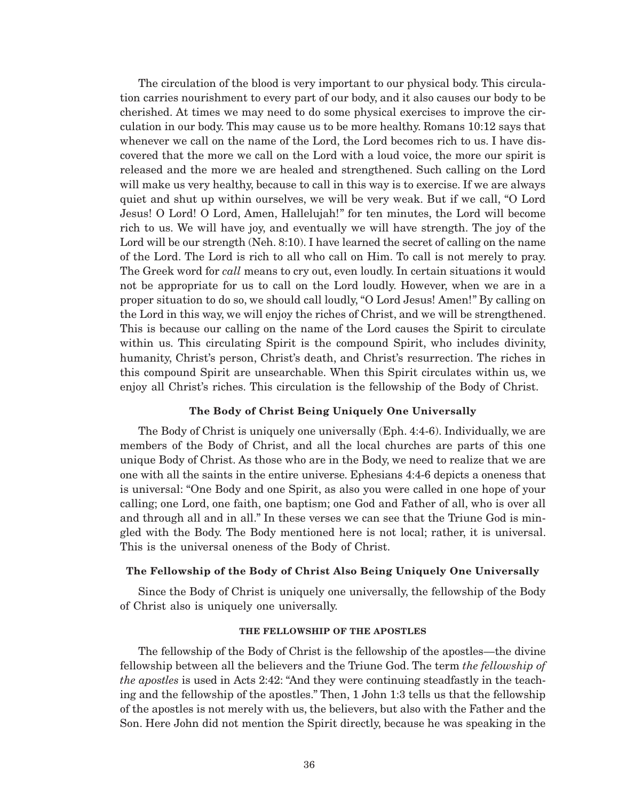The circulation of the blood is very important to our physical body. This circulation carries nourishment to every part of our body, and it also causes our body to be cherished. At times we may need to do some physical exercises to improve the circulation in our body. This may cause us to be more healthy. Romans 10:12 says that whenever we call on the name of the Lord, the Lord becomes rich to us. I have discovered that the more we call on the Lord with a loud voice, the more our spirit is released and the more we are healed and strengthened. Such calling on the Lord will make us very healthy, because to call in this way is to exercise. If we are always quiet and shut up within ourselves, we will be very weak. But if we call, "O Lord Jesus! O Lord! O Lord, Amen, Hallelujah!" for ten minutes, the Lord will become rich to us. We will have joy, and eventually we will have strength. The joy of the Lord will be our strength (Neh. 8:10). I have learned the secret of calling on the name of the Lord. The Lord is rich to all who call on Him. To call is not merely to pray. The Greek word for *call* means to cry out, even loudly. In certain situations it would not be appropriate for us to call on the Lord loudly. However, when we are in a proper situation to do so, we should call loudly, "O Lord Jesus! Amen!" By calling on the Lord in this way, we will enjoy the riches of Christ, and we will be strengthened. This is because our calling on the name of the Lord causes the Spirit to circulate within us. This circulating Spirit is the compound Spirit, who includes divinity, humanity, Christ's person, Christ's death, and Christ's resurrection. The riches in this compound Spirit are unsearchable. When this Spirit circulates within us, we enjoy all Christ's riches. This circulation is the fellowship of the Body of Christ.

### **The Body of Christ Being Uniquely One Universally**

The Body of Christ is uniquely one universally (Eph. 4:4-6). Individually, we are members of the Body of Christ, and all the local churches are parts of this one unique Body of Christ. As those who are in the Body, we need to realize that we are one with all the saints in the entire universe. Ephesians 4:4-6 depicts a oneness that is universal: "One Body and one Spirit, as also you were called in one hope of your calling; one Lord, one faith, one baptism; one God and Father of all, who is over all and through all and in all." In these verses we can see that the Triune God is mingled with the Body. The Body mentioned here is not local; rather, it is universal. This is the universal oneness of the Body of Christ.

### **The Fellowship of the Body of Christ Also Being Uniquely One Universally**

Since the Body of Christ is uniquely one universally, the fellowship of the Body of Christ also is uniquely one universally.

#### **THE FELLOWSHIP OF THE APOSTLES**

The fellowship of the Body of Christ is the fellowship of the apostles—the divine fellowship between all the believers and the Triune God. The term *the fellowship of the apostles* is used in Acts 2:42: "And they were continuing steadfastly in the teaching and the fellowship of the apostles." Then, 1 John 1:3 tells us that the fellowship of the apostles is not merely with us, the believers, but also with the Father and the Son. Here John did not mention the Spirit directly, because he was speaking in the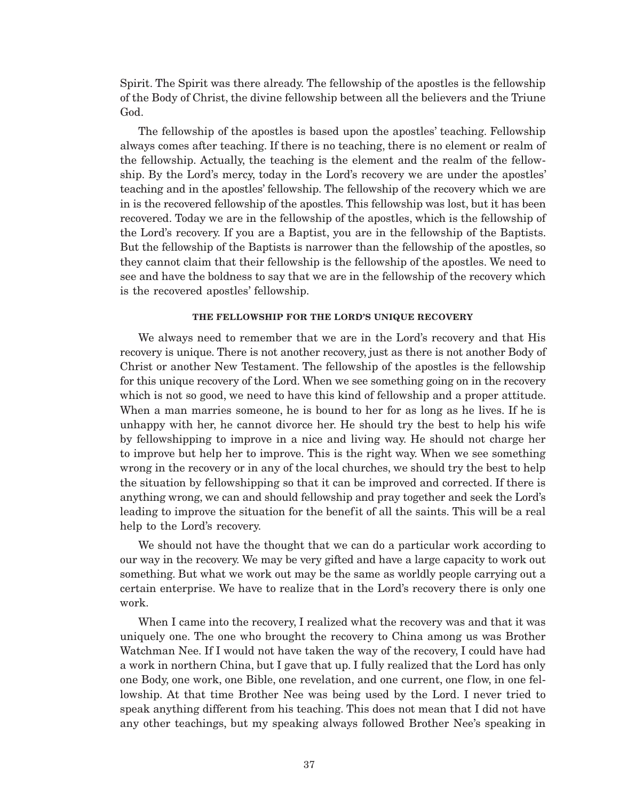Spirit. The Spirit was there already. The fellowship of the apostles is the fellowship of the Body of Christ, the divine fellowship between all the believers and the Triune God.

The fellowship of the apostles is based upon the apostles' teaching. Fellowship always comes after teaching. If there is no teaching, there is no element or realm of the fellowship. Actually, the teaching is the element and the realm of the fellowship. By the Lord's mercy, today in the Lord's recovery we are under the apostles' teaching and in the apostles' fellowship. The fellowship of the recovery which we are in is the recovered fellowship of the apostles. This fellowship was lost, but it has been recovered. Today we are in the fellowship of the apostles, which is the fellowship of the Lord's recovery. If you are a Baptist, you are in the fellowship of the Baptists. But the fellowship of the Baptists is narrower than the fellowship of the apostles, so they cannot claim that their fellowship is the fellowship of the apostles. We need to see and have the boldness to say that we are in the fellowship of the recovery which is the recovered apostles' fellowship.

### **THE FELLOWSHIP FOR THE LORD'S UNIQUE RECOVERY**

We always need to remember that we are in the Lord's recovery and that His recovery is unique. There is not another recovery, just as there is not another Body of Christ or another New Testament. The fellowship of the apostles is the fellowship for this unique recovery of the Lord. When we see something going on in the recovery which is not so good, we need to have this kind of fellowship and a proper attitude. When a man marries someone, he is bound to her for as long as he lives. If he is unhappy with her, he cannot divorce her. He should try the best to help his wife by fellowshipping to improve in a nice and living way. He should not charge her to improve but help her to improve. This is the right way. When we see something wrong in the recovery or in any of the local churches, we should try the best to help the situation by fellowshipping so that it can be improved and corrected. If there is anything wrong, we can and should fellowship and pray together and seek the Lord's leading to improve the situation for the benefit of all the saints. This will be a real help to the Lord's recovery.

We should not have the thought that we can do a particular work according to our way in the recovery. We may be very gifted and have a large capacity to work out something. But what we work out may be the same as worldly people carrying out a certain enterprise. We have to realize that in the Lord's recovery there is only one work.

When I came into the recovery, I realized what the recovery was and that it was uniquely one. The one who brought the recovery to China among us was Brother Watchman Nee. If I would not have taken the way of the recovery, I could have had a work in northern China, but I gave that up. I fully realized that the Lord has only one Body, one work, one Bible, one revelation, and one current, one flow, in one fellowship. At that time Brother Nee was being used by the Lord. I never tried to speak anything different from his teaching. This does not mean that I did not have any other teachings, but my speaking always followed Brother Nee's speaking in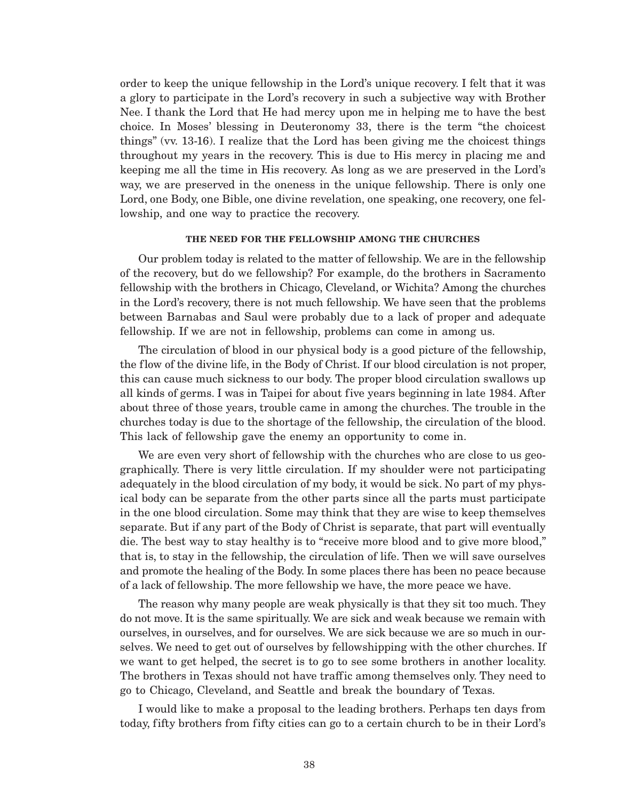order to keep the unique fellowship in the Lord's unique recovery. I felt that it was a glory to participate in the Lord's recovery in such a subjective way with Brother Nee. I thank the Lord that He had mercy upon me in helping me to have the best choice. In Moses' blessing in Deuteronomy 33, there is the term "the choicest things" (vv. 13-16). I realize that the Lord has been giving me the choicest things throughout my years in the recovery. This is due to His mercy in placing me and keeping me all the time in His recovery. As long as we are preserved in the Lord's way, we are preserved in the oneness in the unique fellowship. There is only one Lord, one Body, one Bible, one divine revelation, one speaking, one recovery, one fellowship, and one way to practice the recovery.

#### **THE NEED FOR THE FELLOWSHIP AMONG THE CHURCHES**

Our problem today is related to the matter of fellowship. We are in the fellowship of the recovery, but do we fellowship? For example, do the brothers in Sacramento fellowship with the brothers in Chicago, Cleveland, or Wichita? Among the churches in the Lord's recovery, there is not much fellowship. We have seen that the problems between Barnabas and Saul were probably due to a lack of proper and adequate fellowship. If we are not in fellowship, problems can come in among us.

The circulation of blood in our physical body is a good picture of the fellowship, the flow of the divine life, in the Body of Christ. If our blood circulation is not proper, this can cause much sickness to our body. The proper blood circulation swallows up all kinds of germs. I was in Taipei for about five years beginning in late 1984. After about three of those years, trouble came in among the churches. The trouble in the churches today is due to the shortage of the fellowship, the circulation of the blood. This lack of fellowship gave the enemy an opportunity to come in.

We are even very short of fellowship with the churches who are close to us geographically. There is very little circulation. If my shoulder were not participating adequately in the blood circulation of my body, it would be sick. No part of my physical body can be separate from the other parts since all the parts must participate in the one blood circulation. Some may think that they are wise to keep themselves separate. But if any part of the Body of Christ is separate, that part will eventually die. The best way to stay healthy is to "receive more blood and to give more blood," that is, to stay in the fellowship, the circulation of life. Then we will save ourselves and promote the healing of the Body. In some places there has been no peace because of a lack of fellowship. The more fellowship we have, the more peace we have.

The reason why many people are weak physically is that they sit too much. They do not move. It is the same spiritually. We are sick and weak because we remain with ourselves, in ourselves, and for ourselves. We are sick because we are so much in ourselves. We need to get out of ourselves by fellowshipping with the other churches. If we want to get helped, the secret is to go to see some brothers in another locality. The brothers in Texas should not have traffic among themselves only. They need to go to Chicago, Cleveland, and Seattle and break the boundary of Texas.

I would like to make a proposal to the leading brothers. Perhaps ten days from today, fifty brothers from fifty cities can go to a certain church to be in their Lord's